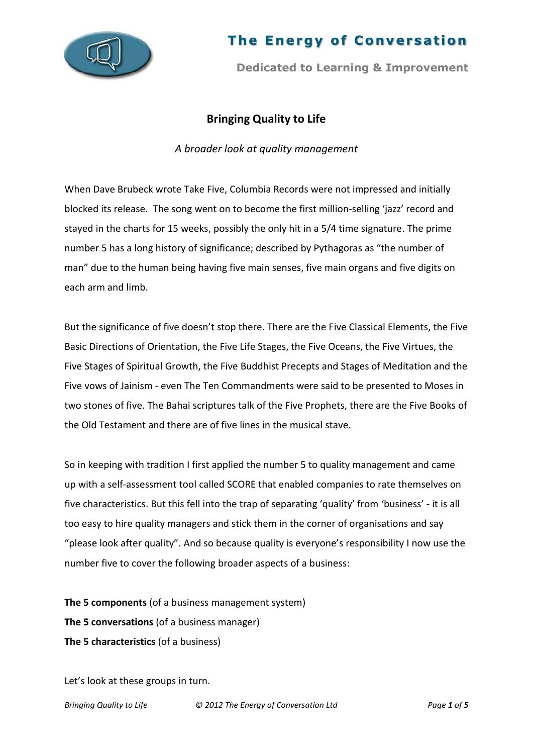

# **The Energy of Conversation**

**Dedicated to Learning & Improvement**

# **Bringing Quality to Life**

*A broader look at quality management*

When Dave Brubeck wrote Take Five, Columbia Records were not impressed and initially blocked its release. The song went on to become the first million-selling 'jazz' record and stayed in the charts for 15 weeks, possibly the only hit in a 5/4 time signature. The prime number 5 has a long history of significance; described by Pythagoras as "the number of man" due to the human being having five main senses, five main organs and five digits on each arm and limb.

But the significance of five doesn't stop there. There are the Five Classical Elements, the Five Basic Directions of Orientation, the Five Life Stages, the Five Oceans, the Five Virtues, the Five Stages of Spiritual Growth, the Five Buddhist Precepts and Stages of Meditation and the Five vows of Jainism - even The Ten Commandments were said to be presented to Moses in two stones of five. The Bahai scriptures talk of the Five Prophets, there are the Five Books of the Old Testament and there are of five lines in the musical stave.

So in keeping with tradition I first applied the number 5 to quality management and came up with a self-assessment tool called SCORE that enabled companies to rate themselves on five characteristics. But this fell into the trap of separating 'quality' from 'business' - it is all too easy to hire quality managers and stick them in the corner of organisations and say "please look after quality". And so because quality is everyone's responsibility I now use the number five to cover the following broader aspects of a business:

**The 5 components** (of a business management system) **The 5 conversations** (of a business manager) **The 5 characteristics** (of a business)

Let's look at these groups in turn.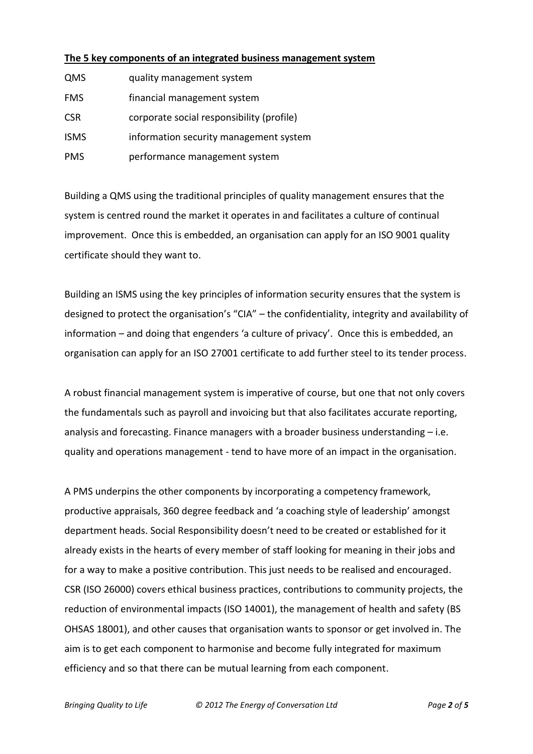# **The 5 key components of an integrated business management system**

| QMS         | quality management system                 |
|-------------|-------------------------------------------|
| <b>FMS</b>  | financial management system               |
| <b>CSR</b>  | corporate social responsibility (profile) |
| <b>ISMS</b> | information security management system    |
| <b>PMS</b>  | performance management system             |

Building a QMS using the traditional principles of quality management ensures that the system is centred round the market it operates in and facilitates a culture of continual improvement. Once this is embedded, an organisation can apply for an ISO 9001 quality certificate should they want to.

Building an ISMS using the key principles of information security ensures that the system is designed to protect the organisation's "CIA" – the confidentiality, integrity and availability of information – and doing that engenders 'a culture of privacy'. Once this is embedded, an organisation can apply for an ISO 27001 certificate to add further steel to its tender process.

A robust financial management system is imperative of course, but one that not only covers the fundamentals such as payroll and invoicing but that also facilitates accurate reporting, analysis and forecasting. Finance managers with a broader business understanding – i.e. quality and operations management - tend to have more of an impact in the organisation.

A PMS underpins the other components by incorporating a competency framework, productive appraisals, 360 degree feedback and 'a coaching style of leadership' amongst department heads. Social Responsibility doesn't need to be created or established for it already exists in the hearts of every member of staff looking for meaning in their jobs and for a way to make a positive contribution. This just needs to be realised and encouraged. CSR (ISO 26000) covers ethical business practices, contributions to community projects, the reduction of environmental impacts (ISO 14001), the management of health and safety (BS OHSAS 18001), and other causes that organisation wants to sponsor or get involved in. The aim is to get each component to harmonise and become fully integrated for maximum efficiency and so that there can be mutual learning from each component.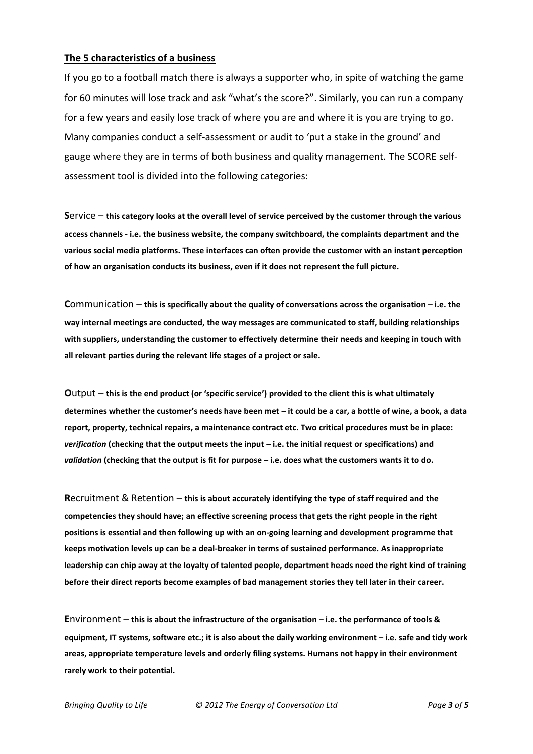#### **The 5 characteristics of a business**

If you go to a football match there is always a supporter who, in spite of watching the game for 60 minutes will lose track and ask "what's the score?". Similarly, you can run a company for a few years and easily lose track of where you are and where it is you are trying to go. Many companies conduct a self-assessment or audit to 'put a stake in the ground' and gauge where they are in terms of both business and quality management. The SCORE selfassessment tool is divided into the following categories:

**S**ervice – **this category looks at the overall level of service perceived by the customer through the various access channels - i.e. the business website, the company switchboard, the complaints department and the various social media platforms. These interfaces can often provide the customer with an instant perception of how an organisation conducts its business, even if it does not represent the full picture.**

**C**ommunication – **this is specifically about the quality of conversations across the organisation – i.e. the way internal meetings are conducted, the way messages are communicated to staff, building relationships with suppliers, understanding the customer to effectively determine their needs and keeping in touch with all relevant parties during the relevant life stages of a project or sale.**

**O**utput – **this is the end product (or 'specific service') provided to the client this is what ultimately determines whether the customer's needs have been met – it could be a car, a bottle of wine, a book, a data report, property, technical repairs, a maintenance contract etc. Two critical procedures must be in place:**  *verification* **(checking that the output meets the input – i.e. the initial request or specifications) and** *validation* **(checking that the output is fit for purpose – i.e. does what the customers wants it to do.**

**R**ecruitment & Retention – **this is about accurately identifying the type of staff required and the competencies they should have; an effective screening process that gets the right people in the right positions is essential and then following up with an on-going learning and development programme that keeps motivation levels up can be a deal-breaker in terms of sustained performance. As inappropriate leadership can chip away at the loyalty of talented people, department heads need the right kind of training before their direct reports become examples of bad management stories they tell later in their career.**

**E**nvironment – **this is about the infrastructure of the organisation – i.e. the performance of tools & equipment, IT systems, software etc.; it is also about the daily working environment – i.e. safe and tidy work areas, appropriate temperature levels and orderly filing systems. Humans not happy in their environment rarely work to their potential.**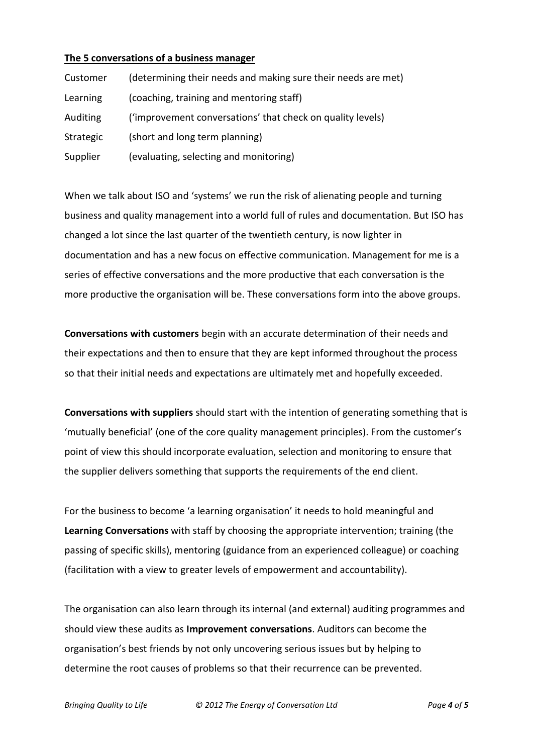### **The 5 conversations of a business manager**

| Customer  | (determining their needs and making sure their needs are met) |
|-----------|---------------------------------------------------------------|
| Learning  | (coaching, training and mentoring staff)                      |
| Auditing  | ('improvement conversations' that check on quality levels)    |
| Strategic | (short and long term planning)                                |
| Supplier  | (evaluating, selecting and monitoring)                        |

When we talk about ISO and 'systems' we run the risk of alienating people and turning business and quality management into a world full of rules and documentation. But ISO has changed a lot since the last quarter of the twentieth century, is now lighter in documentation and has a new focus on effective communication. Management for me is a series of effective conversations and the more productive that each conversation is the more productive the organisation will be. These conversations form into the above groups.

**Conversations with customers** begin with an accurate determination of their needs and their expectations and then to ensure that they are kept informed throughout the process so that their initial needs and expectations are ultimately met and hopefully exceeded.

**Conversations with suppliers** should start with the intention of generating something that is 'mutually beneficial' (one of the core quality management principles). From the customer's point of view this should incorporate evaluation, selection and monitoring to ensure that the supplier delivers something that supports the requirements of the end client.

For the business to become 'a learning organisation' it needs to hold meaningful and **Learning Conversations** with staff by choosing the appropriate intervention; training (the passing of specific skills), mentoring (guidance from an experienced colleague) or coaching (facilitation with a view to greater levels of empowerment and accountability).

The organisation can also learn through its internal (and external) auditing programmes and should view these audits as **Improvement conversations**. Auditors can become the organisation's best friends by not only uncovering serious issues but by helping to determine the root causes of problems so that their recurrence can be prevented.